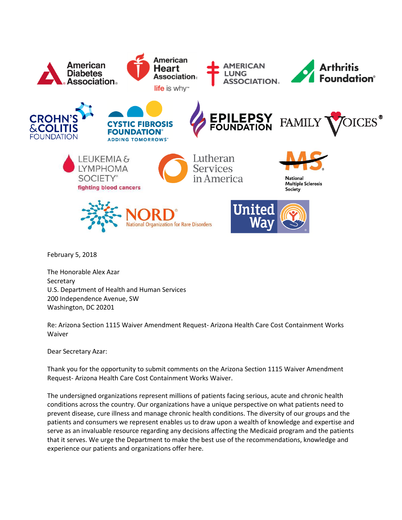

February 5, 2018

The Honorable Alex Azar **Secretary** U.S. Department of Health and Human Services 200 Independence Avenue, SW Washington, DC 20201

Re: Arizona Section 1115 Waiver Amendment Request- Arizona Health Care Cost Containment Works Waiver

Dear Secretary Azar:

Thank you for the opportunity to submit comments on the Arizona Section 1115 Waiver Amendment Request- Arizona Health Care Cost Containment Works Waiver.

The undersigned organizations represent millions of patients facing serious, acute and chronic health conditions across the country. Our organizations have a unique perspective on what patients need to prevent disease, cure illness and manage chronic health conditions. The diversity of our groups and the patients and consumers we represent enables us to draw upon a wealth of knowledge and expertise and serve as an invaluable resource regarding any decisions affecting the Medicaid program and the patients that it serves. We urge the Department to make the best use of the recommendations, knowledge and experience our patients and organizations offer here.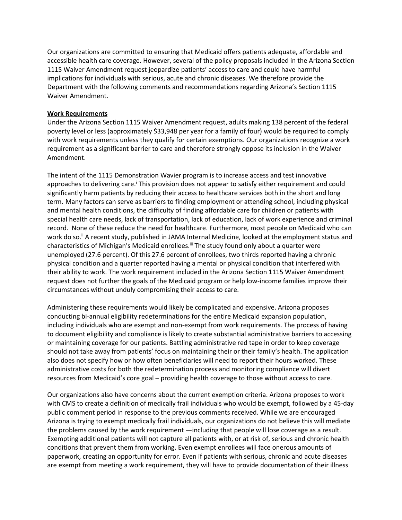Our organizations are committed to ensuring that Medicaid offers patients adequate, affordable and accessible health care coverage. However, several of the policy proposals included in the Arizona Section 1115 Waiver Amendment request jeopardize patients' access to care and could have harmful implications for individuals with serious, acute and chronic diseases. We therefore provide the Department with the following comments and recommendations regarding Arizona's Section 1115 Waiver Amendment.

## **Work Requirements**

Under the Arizona Section 1115 Waiver Amendment request, adults making 138 percent of the federal poverty level or less (approximately \$33,948 per year for a family of four) would be required to comply with work requirements unless they qualify for certain exemptions. Our organizations recognize a work requirement as a significant barrier to care and therefore strongly oppose its inclusion in the Waiver Amendment.

The intent of the 1115 Demonstration Wavier program is to increase access and test innovative approaches to delivering care.<sup>i</sup> This provision does not appear to satisfy either requirement and could significantly harm patients by reducing their access to healthcare services both in the short and long term. Many factors can serve as barriers to finding employment or attending school, including physical and mental health conditions, the difficulty of finding affordable care for children or patients with special health care needs, lack of transportation, lack of education, lack of work experience and criminal record. None of these reduce the need for healthcare. Furthermore, most people on Medicaid who can work do so.<sup>"</sup> A recent study, published in JAMA Internal Medicine, looked at the employment status and characteristics of Michigan's Medicaid enrollees.<sup>iii</sup> The study found only about a quarter were unemployed (27.6 percent). Of this 27.6 percent of enrollees, two thirds reported having a chronic physical condition and a quarter reported having a mental or physical condition that interfered with their ability to work. The work requirement included in the Arizona Section 1115 Waiver Amendment request does not further the goals of the Medicaid program or help low-income families improve their circumstances without unduly compromising their access to care.

Administering these requirements would likely be complicated and expensive. Arizona proposes conducting bi-annual eligibility redeterminations for the entire Medicaid expansion population, including individuals who are exempt and non-exempt from work requirements. The process of having to document eligibility and compliance is likely to create substantial administrative barriers to accessing or maintaining coverage for our patients. Battling administrative red tape in order to keep coverage should not take away from patients' focus on maintaining their or their family's health. The application also does not specify how or how often beneficiaries will need to report their hours worked. These administrative costs for both the redetermination process and monitoring compliance will divert resources from Medicaid's core goal – providing health coverage to those without access to care.

Our organizations also have concerns about the current exemption criteria. Arizona proposes to work with CMS to create a definition of medically frail individuals who would be exempt, followed by a 45-day public comment period in response to the previous comments received. While we are encouraged Arizona is trying to exempt medically frail individuals, our organizations do not believe this will mediate the problems caused by the work requirement —including that people will lose coverage as a result. Exempting additional patients will not capture all patients with, or at risk of, serious and chronic health conditions that prevent them from working. Even exempt enrollees will face onerous amounts of paperwork, creating an opportunity for error. Even if patients with serious, chronic and acute diseases are exempt from meeting a work requirement, they will have to provide documentation of their illness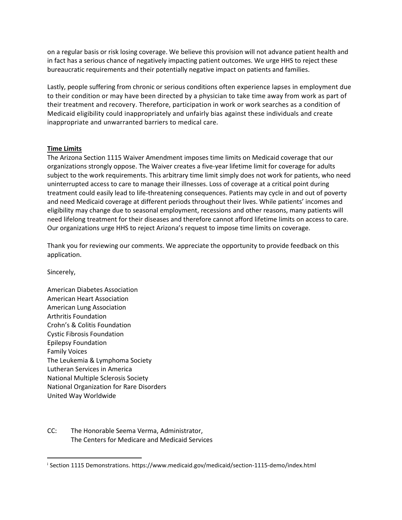on a regular basis or risk losing coverage. We believe this provision will not advance patient health and in fact has a serious chance of negatively impacting patient outcomes. We urge HHS to reject these bureaucratic requirements and their potentially negative impact on patients and families.

Lastly, people suffering from chronic or serious conditions often experience lapses in employment due to their condition or may have been directed by a physician to take time away from work as part of their treatment and recovery. Therefore, participation in work or work searches as a condition of Medicaid eligibility could inappropriately and unfairly bias against these individuals and create inappropriate and unwarranted barriers to medical care.

## **Time Limits**

The Arizona Section 1115 Waiver Amendment imposes time limits on Medicaid coverage that our organizations strongly oppose. The Waiver creates a five-year lifetime limit for coverage for adults subject to the work requirements. This arbitrary time limit simply does not work for patients, who need uninterrupted access to care to manage their illnesses. Loss of coverage at a critical point during treatment could easily lead to life-threatening consequences. Patients may cycle in and out of poverty and need Medicaid coverage at different periods throughout their lives. While patients' incomes and eligibility may change due to seasonal employment, recessions and other reasons, many patients will need lifelong treatment for their diseases and therefore cannot afford lifetime limits on access to care. Our organizations urge HHS to reject Arizona's request to impose time limits on coverage.

Thank you for reviewing our comments. We appreciate the opportunity to provide feedback on this application.

Sincerely,

 $\overline{a}$ 

American Diabetes Association American Heart Association American Lung Association Arthritis Foundation Crohn's & Colitis Foundation Cystic Fibrosis Foundation Epilepsy Foundation Family Voices The Leukemia & Lymphoma Society Lutheran Services in America National Multiple Sclerosis Society National Organization for Rare Disorders United Way Worldwide

CC: The Honorable Seema Verma, Administrator, The Centers for Medicare and Medicaid Services

<sup>i</sup> Section 1115 Demonstrations. https://www.medicaid.gov/medicaid/section-1115-demo/index.html